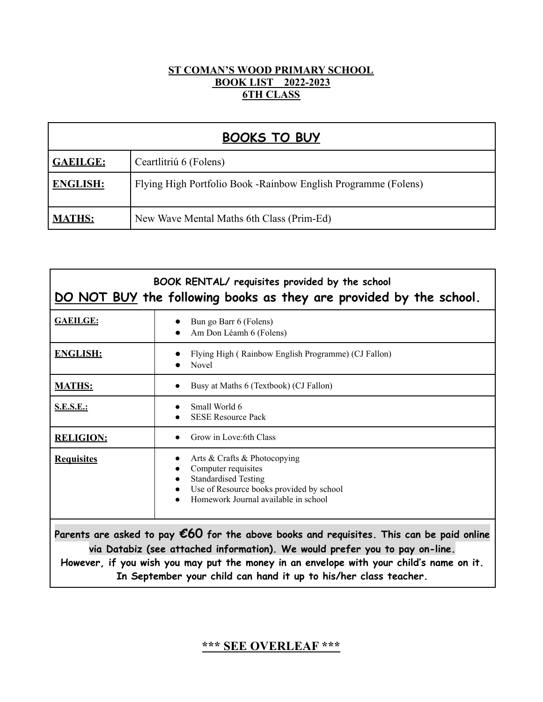## **ST COMAN'S WOOD PRIMARY SCHOOL BOOK LIST 2022-2023 6TH CLASS**

| <b>BOOKS TO BUY</b> |                                                                 |  |
|---------------------|-----------------------------------------------------------------|--|
| <b>GAEILGE:</b>     | Ceartlitriú 6 (Folens)                                          |  |
| <b>ENGLISH:</b>     | Flying High Portfolio Book - Rainbow English Programme (Folens) |  |
| <b>MATHS:</b>       | New Wave Mental Maths 6th Class (Prim-Ed)                       |  |

| BOOK RENTAL/ requisites provided by the school<br>DO NOT BUY the following books as they are provided by the school.                                                                                                                                                                                                                             |                                                                                                                                                                                                  |  |
|--------------------------------------------------------------------------------------------------------------------------------------------------------------------------------------------------------------------------------------------------------------------------------------------------------------------------------------------------|--------------------------------------------------------------------------------------------------------------------------------------------------------------------------------------------------|--|
| <b>GAEILGE:</b>                                                                                                                                                                                                                                                                                                                                  | Bun go Barr 6 (Folens)<br>Am Don Léamh 6 (Folens)                                                                                                                                                |  |
| <b>ENGLISH:</b>                                                                                                                                                                                                                                                                                                                                  | Flying High (Rainbow English Programme) (CJ Fallon)<br><b>Novel</b>                                                                                                                              |  |
| <b>MATHS:</b>                                                                                                                                                                                                                                                                                                                                    | Busy at Maths 6 (Textbook) (CJ Fallon)                                                                                                                                                           |  |
| <b>S.E.S.E.:</b>                                                                                                                                                                                                                                                                                                                                 | Small World 6<br><b>SESE Resource Pack</b>                                                                                                                                                       |  |
| <b>RELIGION:</b>                                                                                                                                                                                                                                                                                                                                 | Grow in Love: 6th Class                                                                                                                                                                          |  |
| <b>Requisites</b>                                                                                                                                                                                                                                                                                                                                | Arts & Crafts & Photocopying<br>$\bullet$<br>Computer requisites<br><b>Standardised Testing</b><br>Use of Resource books provided by school<br>$\bullet$<br>Homework Journal available in school |  |
| Parents are asked to pay $\epsilon$ 60 for the above books and requisites. This can be paid online<br>via Databiz (see attached information). We would prefer you to pay on-line.<br>However, if you wish you may put the money in an envelope with your child's name on it.<br>In September your child can hand it up to his/her class teacher. |                                                                                                                                                                                                  |  |

# **\*\*\* SEE OVERLEAF \*\*\***